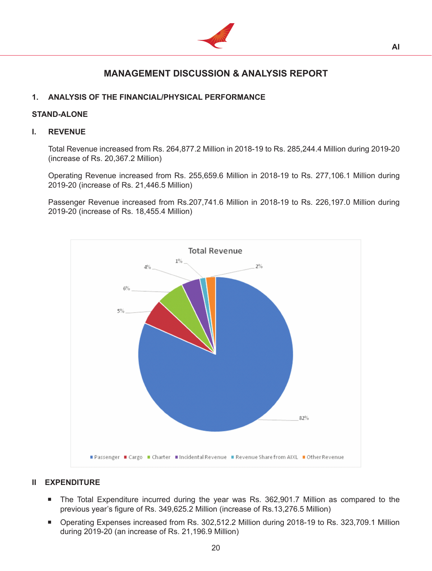

# **MANAGEMENT DISCUSSION & ANALYSIS REPORT**

# **1. ANALYSIS OF THE FINANCIAL/PHYSICAL PERFORMANCE**

# **STAND-ALONE**

# **I. REVENUE**

 Total Revenue increased from Rs. 264,877.2 Million in 2018-19 to Rs. 285,244.4 Million during 2019-20 (increase of Rs. 20,367.2 Million)

 Operating Revenue increased from Rs. 255,659.6 Million in 2018-19 to Rs. 277,106.1 Million during 2019-20 (increase of Rs. 21,446.5 Million)

 Passenger Revenue increased from Rs.207,741.6 Million in 2018-19 to Rs. 226,197.0 Million during 2019-20 (increase of Rs. 18,455.4 Million)



# **II EXPENDITURE**

- The Total Expenditure incurred during the year was Rs. 362,901.7 Million as compared to the previous year's figure of Rs. 349,625.2 Million (increase of Rs.13,276.5 Million)
- Operating Expenses increased from Rs. 302,512.2 Million during 2018-19 to Rs. 323,709.1 Million during 2019-20 (an increase of Rs. 21,196.9 Million)

20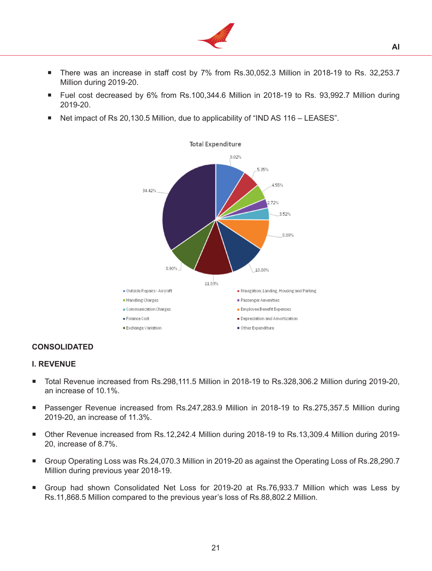

- There was an increase in staff cost by 7% from Rs.30,052.3 Million in 2018-19 to Rs. 32,253.7 Million during 2019-20.
- Fuel cost decreased by 6% from Rs.100,344.6 Million in 2018-19 to Rs. 93,992.7 Million during 2019-20.
- Net impact of Rs 20,130.5 Million, due to applicability of "IND AS 116 LEASES".



# **CONSOLIDATED**

#### **I. REVENUE**

- Total Revenue increased from Rs.298,111.5 Million in 2018-19 to Rs.328,306.2 Million during 2019-20, an increase of 10.1%.
- Passenger Revenue increased from Rs.247,283.9 Million in 2018-19 to Rs.275,357.5 Million during 2019-20, an increase of 11.3%.
- Other Revenue increased from Rs.12,242.4 Million during 2018-19 to Rs.13,309.4 Million during 2019- 20, increase of 8.7%.
- Group Operating Loss was Rs.24,070.3 Million in 2019-20 as against the Operating Loss of Rs.28,290.7 Million during previous year 2018-19.
- Group had shown Consolidated Net Loss for 2019-20 at Rs.76,933.7 Million which was Less by Rs.11,868.5 Million compared to the previous year's loss of Rs.88,802.2 Million.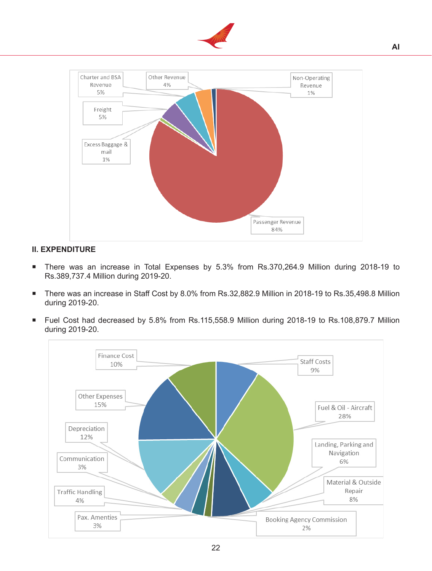



# **II. EXPENDITURE**

- There was an increase in Total Expenses by 5.3% from Rs.370,264.9 Million during 2018-19 to Rs.389,737.4 Million during 2019-20.
- There was an increase in Staff Cost by 8.0% from Rs.32,882.9 Million in 2018-19 to Rs.35,498.8 Million during 2019-20.
- Fuel Cost had decreased by 5.8% from Rs.115,558.9 Million during 2018-19 to Rs.108,879.7 Million during 2019-20.

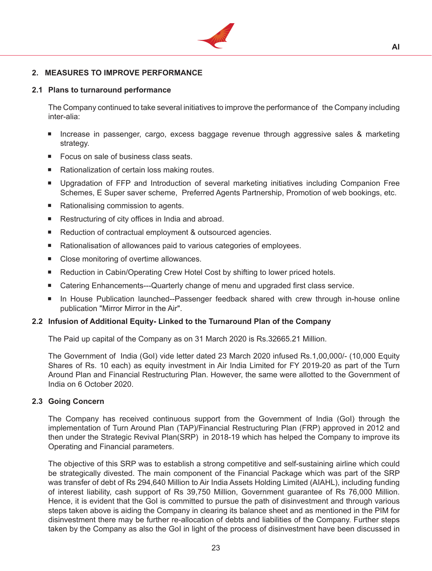

# **2. MEASURES TO IMPROVE PERFORMANCE**

#### **2.1 Plans to turnaround performance**

The Company continued to take several initiatives to improve the performance of the Company including inter-alia:

- Increase in passenger, cargo, excess baggage revenue through aggressive sales & marketing strategy.
- Focus on sale of business class seats.
- Rationalization of certain loss making routes.
- Upgradation of FFP and Introduction of several marketing initiatives including Companion Free Schemes, E Super saver scheme, Preferred Agents Partnership, Promotion of web bookings, etc.
- Rationalising commission to agents.
- Restructuring of city offices in India and abroad.
- Reduction of contractual employment & outsourced agencies.
- Rationalisation of allowances paid to various categories of employees.
- Close monitoring of overtime allowances.
- Reduction in Cabin/Operating Crew Hotel Cost by shifting to lower priced hotels.
- Catering Enhancements---Quarterly change of menu and upgraded first class service.
- **In House Publication launched--Passenger feedback shared with crew through in-house online** publication "Mirror Mirror in the Air".

# **2.2 Infusion of Additional Equity- Linked to the Turnaround Plan of the Company**

The Paid up capital of the Company as on 31 March 2020 is Rs.32665.21 Million.

 The Government of India (GoI) vide letter dated 23 March 2020 infused Rs.1,00,000/- (10,000 Equity Shares of Rs. 10 each) as equity investment in Air India Limited for FY 2019-20 as part of the Turn Around Plan and Financial Restructuring Plan. However, the same were allotted to the Government of India on 6 October 2020.

# **2.3 Going Concern**

The Company has received continuous support from the Government of India (GoI) through the implementation of Turn Around Plan (TAP)/Financial Restructuring Plan (FRP) approved in 2012 and then under the Strategic Revival Plan(SRP) in 2018-19 which has helped the Company to improve its Operating and Financial parameters.

 The objective of this SRP was to establish a strong competitive and self-sustaining airline which could be strategically divested. The main component of the Financial Package which was part of the SRP was transfer of debt of Rs 294,640 Million to Air India Assets Holding Limited (AIAHL), including funding of interest liability, cash support of Rs 39,750 Million, Government guarantee of Rs 76,000 Million. Hence, it is evident that the GoI is committed to pursue the path of disinvestment and through various steps taken above is aiding the Company in clearing its balance sheet and as mentioned in the PIM for disinvestment there may be further re-allocation of debts and liabilities of the Company. Further steps taken by the Company as also the GoI in light of the process of disinvestment have been discussed in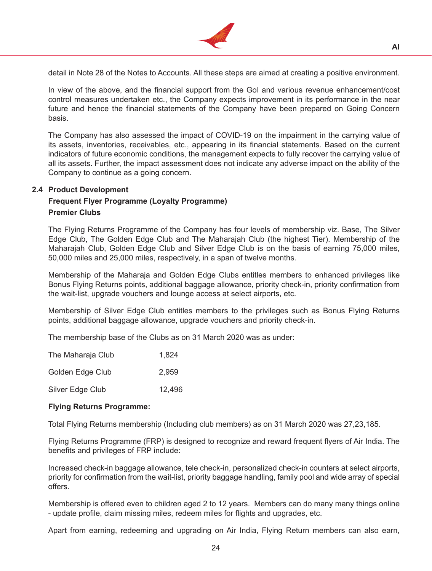

detail in Note 28 of the Notes to Accounts. All these steps are aimed at creating a positive environment.

**AI**

 In view of the above, and the financial support from the GoI and various revenue enhancement/cost control measures undertaken etc., the Company expects improvement in its performance in the near future and hence the financial statements of the Company have been prepared on Going Concern basis.

The Company has also assessed the impact of COVID-19 on the impairment in the carrying value of its assets, inventories, receivables, etc., appearing in its financial statements. Based on the current indicators of future economic conditions, the management expects to fully recover the carrying value of all its assets. Further, the impact assessment does not indicate any adverse impact on the ability of the Company to continue as a going concern.

# **2.4 Product Development**

# **Frequent Flyer Programme (Loyalty Programme) Premier Clubs**

 The Flying Returns Programme of the Company has four levels of membership viz. Base, The Silver Edge Club, The Golden Edge Club and The Maharajah Club (the highest Tier). Membership of the Maharajah Club, Golden Edge Club and Silver Edge Club is on the basis of earning 75,000 miles, 50,000 miles and 25,000 miles, respectively, in a span of twelve months.

 Membership of the Maharaja and Golden Edge Clubs entitles members to enhanced privileges like Bonus Flying Returns points, additional baggage allowance, priority check-in, priority confirmation from the wait-list, upgrade vouchers and lounge access at select airports, etc.

 Membership of Silver Edge Club entitles members to the privileges such as Bonus Flying Returns points, additional baggage allowance, upgrade vouchers and priority check-in.

 The membership base of the Clubs as on 31 March 2020 was as under:

| The Maharaja Club | 1.824  |
|-------------------|--------|
| Golden Edge Club  | 2.959  |
| Silver Edge Club  | 12,496 |

# **Flying Returns Programme:**

 Total Flying Returns membership (Including club members) as on 31 March 2020 was 27,23,185.

 Flying Returns Programme (FRP) is designed to recognize and reward frequent flyers of Air India. The benefits and privileges of FRP include:

 Increased check-in baggage allowance, tele check-in, personalized check-in counters at select airports, priority for confirmation from the wait-list, priority baggage handling, family pool and wide array of special offers.

 Membership is offered even to children aged 2 to 12 years. Members can do many many things online - update profile, claim missing miles, redeem miles for flights and upgrades, etc.

 Apart from earning, redeeming and upgrading on Air India, Flying Return members can also earn,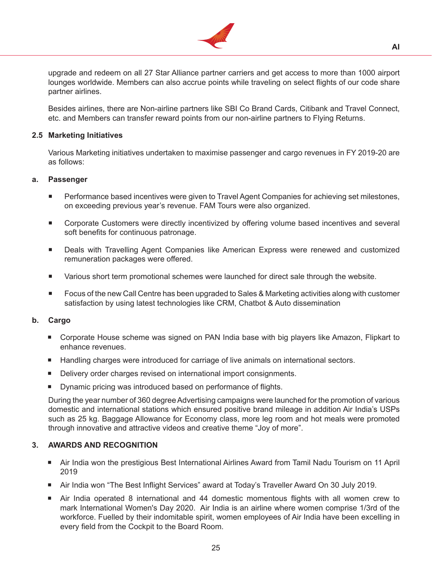

upgrade and redeem on all 27 Star Alliance partner carriers and get access to more than 1000 airport lounges worldwide. Members can also accrue points while traveling on select flights of our code share partner airlines.

 Besides airlines, there are Non-airline partners like SBI Co Brand Cards, Citibank and Travel Connect, etc. and Members can transfer reward points from our non-airline partners to Flying Returns.

# **2.5 Marketing Initiatives**

Various Marketing initiatives undertaken to maximise passenger and cargo revenues in FY 2019-20 are as follows:

# **a. Passenger**

- Performance based incentives were given to Travel Agent Companies for achieving set milestones, on exceeding previous year's revenue. FAM Tours were also organized.
- Corporate Customers were directly incentivized by offering volume based incentives and several soft benefits for continuous patronage.
- Deals with Travelling Agent Companies like American Express were renewed and customized remuneration packages were offered.
- Various short term promotional schemes were launched for direct sale through the website.
- Focus of the new Call Centre has been upgraded to Sales & Marketing activities along with customer satisfaction by using latest technologies like CRM, Chatbot & Auto dissemination

# **b. Cargo**

- **Corporate House scheme was signed on PAN India base with big players like Amazon, Flipkart to** enhance revenues.
- **Handling charges were introduced for carriage of live animals on international sectors.**
- Delivery order charges revised on international import consignments.
- Dynamic pricing was introduced based on performance of flights.

During the year number of 360 degree Advertising campaigns were launched for the promotion of various domestic and international stations which ensured positive brand mileage in addition Air India's USPs such as 25 kg. Baggage Allowance for Economy class, more leg room and hot meals were promoted through innovative and attractive videos and creative theme "Joy of more".

# **3. AWARDS AND RECOGNITION**

- Air India won the prestigious Best International Airlines Award from Tamil Nadu Tourism on 11 April 2019
- Air India won "The Best Inflight Services" award at Today's Traveller Award On 30 July 2019.
- Air India operated 8 international and 44 domestic momentous flights with all women crew to mark International Women's Day 2020. Air India is an airline where women comprise 1/3rd of the workforce. Fuelled by their indomitable spirit, women employees of Air India have been excelling in every field from the Cockpit to the Board Room.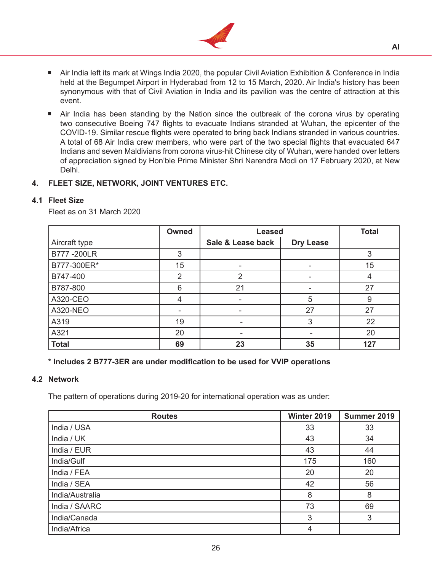

- Air India left its mark at Wings India 2020, the popular Civil Aviation Exhibition & Conference in India held at the Begumpet Airport in Hyderabad from 12 to 15 March, 2020. Air India's history has been synonymous with that of Civil Aviation in India and its pavilion was the centre of attraction at this event.
- **Air India has been standing by the Nation since the outbreak of the corona virus by operating** two consecutive Boeing 747 flights to evacuate Indians stranded at Wuhan, the epicenter of the COVID-19. Similar rescue flights were operated to bring back Indians stranded in various countries. A total of 68 Air India crew members, who were part of the two special flights that evacuated 647 Indians and seven Maldivians from corona virus-hit Chinese city of Wuhan, were handed over letters of appreciation signed by Hon'ble Prime Minister Shri Narendra Modi on 17 February 2020, at New Delhi.

# **4. FLEET SIZE, NETWORK, JOINT VENTURES ETC.**

# **4.1 Fleet Size**

Fleet as on 31 March 2020

|               | Owned | <b>Leased</b>     | <b>Total</b>     |     |
|---------------|-------|-------------------|------------------|-----|
| Aircraft type |       | Sale & Lease back | <b>Dry Lease</b> |     |
| B777-200LR    | 3     |                   |                  | 3   |
| B777-300ER*   | 15    |                   |                  | 15  |
| B747-400      | 2     | 2                 | ۰                | 4   |
| B787-800      | 6     | 21                |                  | 27  |
| A320-CEO      | 4     |                   | 5                | 9   |
| A320-NEO      | -     | -                 | 27               | 27  |
| A319          | 19    | ۰                 | 3                | 22  |
| A321          | 20    |                   |                  | 20  |
| <b>Total</b>  | 69    | 23                | 35               | 127 |

# **\* Includes 2 B777-3ER are under modification to be used for VVIP operations**

#### **4.2 Network**

The pattern of operations during 2019-20 for international operation was as under:

| <b>Routes</b>   | Winter 2019 | Summer 2019 |
|-----------------|-------------|-------------|
| India / USA     | 33          | 33          |
| India / UK      | 43          | 34          |
| India / EUR     | 43          | 44          |
| India/Gulf      | 175         | 160         |
| India / FEA     | 20          | 20          |
| India / SEA     | 42          | 56          |
| India/Australia | 8           | 8           |
| India / SAARC   | 73          | 69          |
| India/Canada    | 3           | 3           |
| India/Africa    | 4           |             |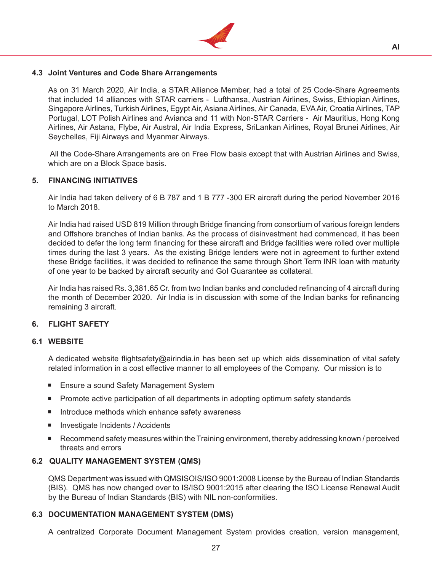

# **4.3 Joint Ventures and Code Share Arrangements**

 As on 31 March 2020, Air India, a STAR Alliance Member, had a total of 25 Code-Share Agreements that included 14 alliances with STAR carriers - Lufthansa, Austrian Airlines, Swiss, Ethiopian Airlines, Singapore Airlines, Turkish Airlines, Egypt Air, Asiana Airlines, Air Canada, EVAAir, Croatia Airlines, TAP Portugal, LOT Polish Airlines and Avianca and 11 with Non-STAR Carriers - Air Mauritius, Hong Kong Airlines, Air Astana, Flybe, Air Austral, Air India Express, SriLankan Airlines, Royal Brunei Airlines, Air Seychelles, Fiji Airways and Myanmar Airways.

All the Code-Share Arrangements are on Free Flow basis except that with Austrian Airlines and Swiss, which are on a Block Space basis.

# **5. FINANCING INITIATIVES**

 Air India had taken delivery of 6 B 787 and 1 B 777 -300 ER aircraft during the period November 2016 to March 2018.

 Air India had raised USD 819 Million through Bridge financing from consortium of various foreign lenders and Offshore branches of Indian banks. As the process of disinvestment had commenced, it has been decided to defer the long term financing for these aircraft and Bridge facilities were rolled over multiple times during the last 3 years. As the existing Bridge lenders were not in agreement to further extend these Bridge facilities, it was decided to refinance the same through Short Term INR loan with maturity of one year to be backed by aircraft security and GoI Guarantee as collateral.

 Air India has raised Rs. 3,381.65 Cr. from two Indian banks and concluded refinancing of 4 aircraft during the month of December 2020. Air India is in discussion with some of the Indian banks for refinancing remaining 3 aircraft.

# **6. FLIGHT SAFETY**

#### **6.1 WEBSITE**

 A dedicated website flightsafety@airindia.in has been set up which aids dissemination of vital safety related information in a cost effective manner to all employees of the Company. Our mission is to

- **Ensure a sound Safety Management System**
- **Promote active participation of all departments in adopting optimum safety standards**
- Introduce methods which enhance safety awareness
- Investigate Incidents / Accidents
- Recommend safety measures within the Training environment, thereby addressing known / perceived threats and errors

# **6.2 QUALITY MANAGEMENT SYSTEM (QMS)**

 QMS Department was issued with QMSISOIS/ISO 9001:2008 License by the Bureau of Indian Standards (BIS). QMS has now changed over to IS/ISO 9001:2015 after clearing the ISO License Renewal Audit by the Bureau of Indian Standards (BIS) with NIL non-conformities.

# **6.3 DOCUMENTATION MANAGEMENT SYSTEM (DMS)**

 A centralized Corporate Document Management System provides creation, version management,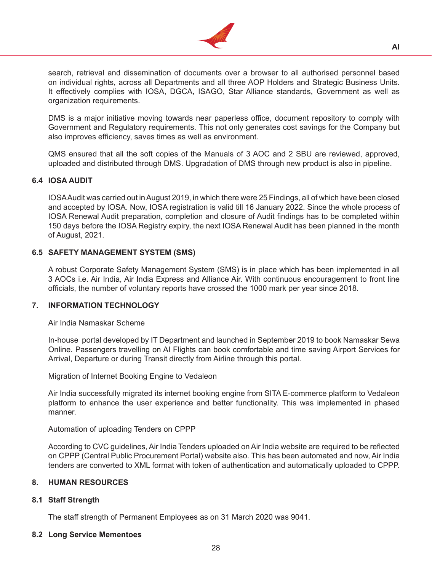

search, retrieval and dissemination of documents over a browser to all authorised personnel based on individual rights, across all Departments and all three AOP Holders and Strategic Business Units. It effectively complies with IOSA, DGCA, ISAGO, Star Alliance standards, Government as well as organization requirements.

 DMS is a major initiative moving towards near paperless office, document repository to comply with Government and Regulatory requirements. This not only generates cost savings for the Company but also improves efficiency, saves times as well as environment.

 QMS ensured that all the soft copies of the Manuals of 3 AOC and 2 SBU are reviewed, approved, uploaded and distributed through DMS. Upgradation of DMS through new product is also in pipeline.

# **6.4 IOSA AUDIT**

 IOSAAudit was carried out inAugust 2019, in which there were 25 Findings, all of which have been closed and accepted by IOSA. Now, IOSA registration is valid till 16 January 2022. Since the whole process of IOSA Renewal Audit preparation, completion and closure of Audit findings has to be completed within 150 days before the IOSA Registry expiry, the next IOSA Renewal Audit has been planned in the month of August, 2021.

# **6.5 SAFETY MANAGEMENT SYSTEM (SMS)**

 A robust Corporate Safety Management System (SMS) is in place which has been implemented in all 3 AOCs i.e. Air India, Air India Express and Alliance Air. With continuous encouragement to front line officials, the number of voluntary reports have crossed the 1000 mark per year since 2018.

# **7. INFORMATION TECHNOLOGY**

# Air India Namaskar Scheme

 In-house portal developed by IT Department and launched in September 2019 to book Namaskar Sewa Online. Passengers travelling on AI Flights can book comfortable and time saving Airport Services for Arrival, Departure or during Transit directly from Airline through this portal.

Migration of Internet Booking Engine to Vedaleon

 Air India successfully migrated its internet booking engine from SITA E-commerce platform to Vedaleon platform to enhance the user experience and better functionality. This was implemented in phased manner.

Automation of uploading Tenders on CPPP

According to CVC quidelines, Air India Tenders uploaded on Air India website are required to be reflected on CPPP (Central Public Procurement Portal) website also. This has been automated and now, Air India tenders are converted to XML format with token of authentication and automatically uploaded to CPPP.

# **8. HUMAN RESOURCES**

# **8.1 Staff Strength**

The staff strength of Permanent Employees as on 31 March 2020 was 9041.

# **8.2 Long Service Mementoes**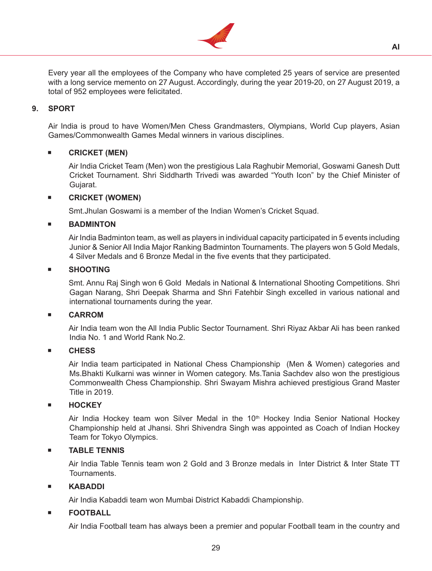

Every year all the employees of the Company who have completed 25 years of service are presented with a long service memento on 27 August. Accordingly, during the year 2019-20, on 27 August 2019, a total of 952 employees were felicitated.

# **9. SPORT**

 Air India is proud to have Women/Men Chess Grandmasters, Olympians, World Cup players, Asian Games/Commonwealth Games Medal winners in various disciplines.

# **CRICKET (MEN)**

 Air India Cricket Team (Men) won the prestigious Lala Raghubir Memorial, Goswami Ganesh Dutt Cricket Tournament. Shri Siddharth Trivedi was awarded "Youth Icon" by the Chief Minister of Gujarat.

# **CRICKET (WOMEN)**

 Smt.Jhulan Goswami is a member of the Indian Women's Cricket Squad.

# **BADMINTON**

 Air India Badminton team, as well as players in individual capacity participated in 5 events including Junior & Senior All India Major Ranking Badminton Tournaments. The players won 5 Gold Medals, 4 Silver Medals and 6 Bronze Medal in the five events that they participated.

# **SHOOTING**

Smt. Annu Raj Singh won 6 Gold Medals in National & International Shooting Competitions. Shri Gagan Narang, Shri Deepak Sharma and Shri Fatehbir Singh excelled in various national and international tournaments during the year.

# **CARROM**

 Air India team won the All India Public Sector Tournament. Shri Riyaz Akbar Ali has been ranked India No. 1 and World Rank No.2.

# **CHESS**

Air India team participated in National Chess Championship (Men & Women) categories and Ms.Bhakti Kulkarni was winner in Women category. Ms.Tania Sachdev also won the prestigious Commonwealth Chess Championship. Shri Swayam Mishra achieved prestigious Grand Master Title in 2019.

# **HOCKEY**

Air India Hockey team won Silver Medal in the 10<sup>th</sup> Hockey India Senior National Hockey Championship held at Jhansi. Shri Shivendra Singh was appointed as Coach of Indian Hockey Team for Tokyo Olympics.

# **TABLE TENNIS**

 Air India Table Tennis team won 2 Gold and 3 Bronze medals in Inter District & Inter State TT Tournaments.

# **KABADDI**

 Air India Kabaddi team won Mumbai District Kabaddi Championship.

# **FOOTBALL**

 Air India Football team has always been a premier and popular Football team in the country and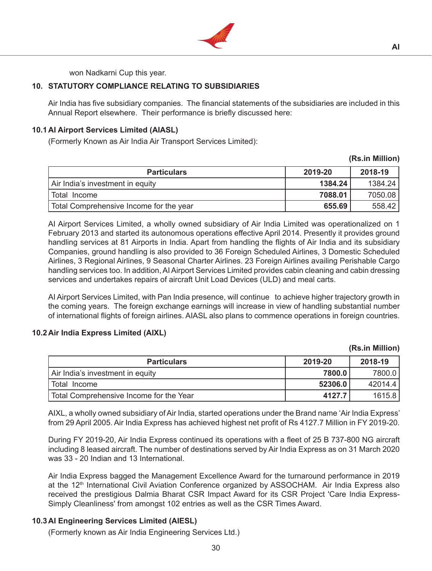

won Nadkarni Cup this year.

# **10. STATUTORY COMPLIANCE RELATING TO SUBSIDIARIES**

 Air India has five subsidiary companies. The financial statements of the subsidiaries are included in this Annual Report elsewhere. Their performance is briefly discussed here:

# **10.1 AI Airport Services Limited (AIASL)**

(Formerly Known as Air India Air Transport Services Limited):

| <b>Particulars</b>                      | 2019-20 | 2018-19 |
|-----------------------------------------|---------|---------|
| Air India's investment in equity        | 1384.24 | 1384.24 |
| Total Income                            | 7088.01 | 7050.08 |
| Total Comprehensive Income for the year | 655.69  | 558.42  |

 AI Airport Services Limited, a wholly owned subsidiary of Air India Limited was operationalized on 1 February 2013 and started its autonomous operations effective April 2014. Presently it provides ground handling services at 81 Airports in India. Apart from handling the flights of Air India and its subsidiary Companies, ground handling is also provided to 36 Foreign Scheduled Airlines, 3 Domestic Scheduled Airlines, 3 Regional Airlines, 9 Seasonal Charter Airlines. 23 Foreign Airlines availing Perishable Cargo handling services too. In addition, AI Airport Services Limited provides cabin cleaning and cabin dressing services and undertakes repairs of aircraft Unit Load Devices (ULD) and meal carts.

 AI Airport Services Limited, with Pan India presence, will continue to achieve higher trajectory growth in the coming years. The foreign exchange earnings will increase in view of handling substantial number of international flights of foreign airlines. AIASL also plans to commence operations in foreign countries.

# **10.2 Air India Express Limited (AIXL)**

|                                         |         | . <i>. . .</i> |
|-----------------------------------------|---------|----------------|
| <b>Particulars</b>                      | 2019-20 | 2018-19        |
| Air India's investment in equity        | 7800.0  | 7800.0         |
| I Total Income                          | 52306.0 | 42014.4        |
| Total Comprehensive Income for the Year | 4127.7  | 1615.8         |

AIXL, a wholly owned subsidiary of Air India, started operations under the Brand name 'Air India Express' from 29 April 2005. Air India Express has achieved highest net profit of Rs 4127.7 Million in FY 2019-20.

 During FY 2019-20, Air India Express continued its operations with a fleet of 25 B 737-800 NG aircraft including 8 leased aircraft. The number of destinations served by Air India Express as on 31 March 2020 was 33 - 20 Indian and 13 International.

 Air India Express bagged the Management Excellence Award for the turnaround performance in 2019 at the 12<sup>th</sup> International Civil Aviation Conference organized by ASSOCHAM. Air India Express also received the prestigious Dalmia Bharat CSR Impact Award for its CSR Project 'Care India Express-Simply Cleanliness' from amongst 102 entries as well as the CSR Times Award.

# **10.3 AI Engineering Services Limited (AIESL)**

 (Formerly known as Air India Engineering Services Ltd.)

**(Rs.in Million)**

**(Rs.in Million)**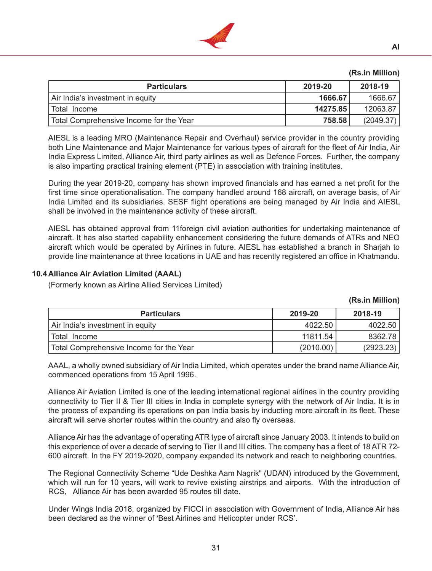

# **(Rs.in Million)**

| <b>Particulars</b>                      | 2019-20  | 2018-19   |
|-----------------------------------------|----------|-----------|
| Air India's investment in equity        | 1666.67  | 1666.67   |
| l Total Income                          | 14275.85 | 12063.87  |
| Total Comprehensive Income for the Year | 758.58   | (2049.37) |

 AIESL is a leading MRO (Maintenance Repair and Overhaul) service provider in the country providing both Line Maintenance and Major Maintenance for various types of aircraft for the fleet of Air India, Air India Express Limited, Alliance Air, third party airlines as well as Defence Forces. Further, the company is also imparting practical training element (PTE) in association with training institutes.

 During the year 2019-20, company has shown improved financials and has earned a net profit for the first time since operationalisation. The company handled around 168 aircraft, on average basis, of Air India Limited and its subsidiaries. SESF flight operations are being managed by Air India and AIESL shall be involved in the maintenance activity of these aircraft.

 AIESL has obtained approval from 11foreign civil aviation authorities for undertaking maintenance of aircraft. It has also started capability enhancement considering the future demands of ATRs and NEO aircraft which would be operated by Airlines in future. AIESL has established a branch in Sharjah to provide line maintenance at three locations in UAE and has recently registered an office in Khatmandu.

# **10.4 Alliance Air Aviation Limited (AAAL)**

 (Formerly known as Airline Allied Services Limited)

| <b>Particulars</b>                      | 2019-20   | 2018-19   |
|-----------------------------------------|-----------|-----------|
| Air India's investment in equity        | 4022.50   | 4022.50   |
| Total Income                            | 11811.54  | 8362.78   |
| Total Comprehensive Income for the Year | (2010.00) | (2923.23) |

 AAAL, a wholly owned subsidiary of Air India Limited, which operates under the brand name Alliance Air, commenced operations from 15 April 1996.

 Alliance Air Aviation Limited is one of the leading international regional airlines in the country providing connectivity to Tier II & Tier III cities in India in complete synergy with the network of Air India. It is in the process of expanding its operations on pan India basis by inducting more aircraft in its fleet. These aircraft will serve shorter routes within the country and also fly overseas.

 Alliance Air has the advantage of operating ATR type of aircraft since January 2003. It intends to build on this experience of over a decade of serving to Tier II and III cities. The company has a fleet of 18 ATR 72- 600 aircraft. In the FY 2019-2020, company expanded its network and reach to neighboring countries.

 The Regional Connectivity Scheme "Ude Deshka Aam Nagrik" (UDAN) introduced by the Government, which will run for 10 years, will work to revive existing airstrips and airports. With the introduction of RCS, Alliance Air has been awarded 95 routes till date.

 Under Wings India 2018, organized by FICCI in association with Government of India, Alliance Air has been declared as the winner of 'Best Airlines and Helicopter under RCS'.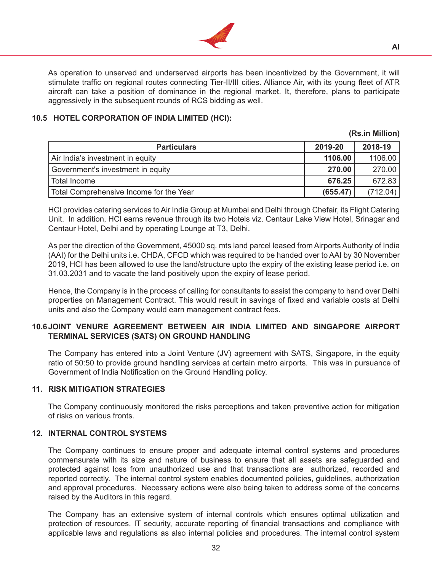

 As operation to unserved and underserved airports has been incentivized by the Government, it will stimulate traffic on regional routes connecting Tier-II/III cities. Alliance Air, with its young fleet of ATR aircraft can take a position of dominance in the regional market. It, therefore, plans to participate aggressively in the subsequent rounds of RCS bidding as well.

# **10.5 HOTEL CORPORATION OF INDIA LIMITED (HCI):**

#### **(Rs.in Million)**

**AI**

| <b>Particulars</b>                      | 2019-20  | 2018-19  |
|-----------------------------------------|----------|----------|
| Air India's investment in equity        | 1106.00  | 1106.00  |
| Government's investment in equity       | 270.00   | 270.00   |
| Total Income                            | 676.25   | 672.83   |
| Total Comprehensive Income for the Year | (655.47) | (712.04) |

 HCI provides catering services toAir India Group at Mumbai and Delhi through Chefair, its Flight Catering Unit. In addition, HCI earns revenue through its two Hotels viz. Centaur Lake View Hotel, Srinagar and Centaur Hotel, Delhi and by operating Lounge at T3, Delhi.

 As per the direction of the Government, 45000 sq. mts land parcel leased from Airports Authority of India (AAI) for the Delhi units i.e. CHDA, CFCD which was required to be handed over to AAI by 30 November 2019, HCI has been allowed to use the land/structure upto the expiry of the existing lease period i.e. on 31.03.2031 and to vacate the land positively upon the expiry of lease period.

 Hence, the Company is in the process of calling for consultants to assist the company to hand over Delhi properties on Management Contract. This would result in savings of fixed and variable costs at Delhi units and also the Company would earn management contract fees.

# **10.6 JOINT VENURE AGREEMENT BETWEEN AIR INDIA LIMITED AND SINGAPORE AIRPORT TERMINAL SERVICES (SATS) ON GROUND HANDLING**

 The Company has entered into a Joint Venture (JV) agreement with SATS, Singapore, in the equity ratio of 50:50 to provide ground handling services at certain metro airports. This was in pursuance of Government of India Notification on the Ground Handling policy.

# **11. RISK MITIGATION STRATEGIES**

The Company continuously monitored the risks perceptions and taken preventive action for mitigation of risks on various fronts.

# **12. INTERNAL CONTROL SYSTEMS**

The Company continues to ensure proper and adequate internal control systems and procedures commensurate with its size and nature of business to ensure that all assets are safeguarded and protected against loss from unauthorized use and that transactions are authorized, recorded and reported correctly. The internal control system enables documented policies, guidelines, authorization and approval procedures. Necessary actions were also being taken to address some of the concerns raised by the Auditors in this regard.

The Company has an extensive system of internal controls which ensures optimal utilization and protection of resources, IT security, accurate reporting of financial transactions and compliance with applicable laws and regulations as also internal policies and procedures. The internal control system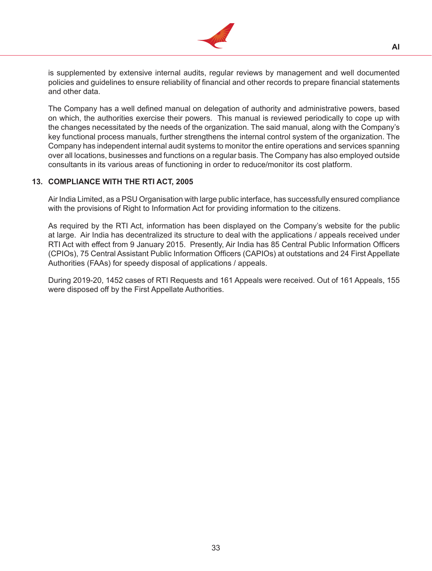

is supplemented by extensive internal audits, regular reviews by management and well documented policies and guidelines to ensure reliability of financial and other records to prepare financial statements and other data.

 The Company has a well defined manual on delegation of authority and administrative powers, based on which, the authorities exercise their powers. This manual is reviewed periodically to cope up with the changes necessitated by the needs of the organization. The said manual, along with the Company's key functional process manuals, further strengthens the internal control system of the organization. The Company has independent internal audit systems to monitor the entire operations and services spanning over all locations, businesses and functions on a regular basis. The Company has also employed outside consultants in its various areas of functioning in order to reduce/monitor its cost platform.

# **13. COMPLIANCE WITH THE RTI ACT, 2005**

 Air India Limited, as a PSU Organisation with large public interface, has successfully ensured compliance with the provisions of Right to Information Act for providing information to the citizens.

 As required by the RTI Act, information has been displayed on the Company's website for the public at large. Air India has decentralized its structure to deal with the applications / appeals received under RTI Act with effect from 9 January 2015. Presently, Air India has 85 Central Public Information Officers (CPIOs), 75 Central Assistant Public Information Officers (CAPIOs) at outstations and 24 First Appellate Authorities (FAAs) for speedy disposal of applications / appeals.

 During 2019-20, 1452 cases of RTI Requests and 161 Appeals were received. Out of 161 Appeals, 155 were disposed off by the First Appellate Authorities.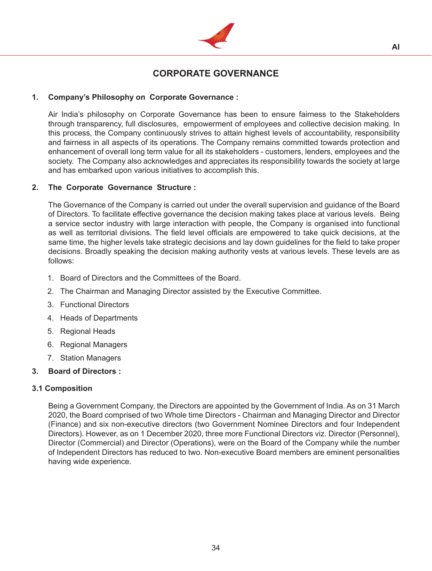

# **CORPORATE GOVERNANCE**

# **1. Company's Philosophy on Corporate Governance :**

 Air India's philosophy on Corporate Governance has been to ensure fairness to the Stakeholders through transparency, full disclosures, empowerment of employees and collective decision making. In this process, the Company continuously strives to attain highest levels of accountability, responsibility and fairness in all aspects of its operations. The Company remains committed towards protection and enhancement of overall long term value for all its stakeholders - customers, lenders, employees and the society. The Company also acknowledges and appreciates its responsibility towards the society at large and has embarked upon various initiatives to accomplish this.

# **2. The Corporate Governance Structure :**

The Governance of the Company is carried out under the overall supervision and guidance of the Board of Directors. To facilitate effective governance the decision making takes place at various levels. Being a service sector industry with large interaction with people, the Company is organised into functional as well as territorial divisions. The field level officials are empowered to take quick decisions, at the same time, the higher levels take strategic decisions and lay down guidelines for the field to take proper decisions. Broadly speaking the decision making authority vests at various levels. These levels are as follows:

- 1. Board of Directors and the Committees of the Board.
- 2. The Chairman and Managing Director assisted by the Executive Committee.
- 3. Functional Directors
- 4. Heads of Departments
- 5. Regional Heads
- 6. Regional Managers
- 7. Station Managers

# **3. Board of Directors :**

# **3.1 Composition**

 Being a Government Company, the Directors are appointed by the Government of India. As on 31 March 2020, the Board comprised of two Whole time Directors - Chairman and Managing Director and Director (Finance) and six non-executive directors (two Government Nominee Directors and four Independent Directors). However, as on 1 December 2020, three more Functional Directors viz. Director (Personnel), Director (Commercial) and Director (Operations), were on the Board of the Company while the number of Independent Directors has reduced to two. Non-executive Board members are eminent personalities having wide experience.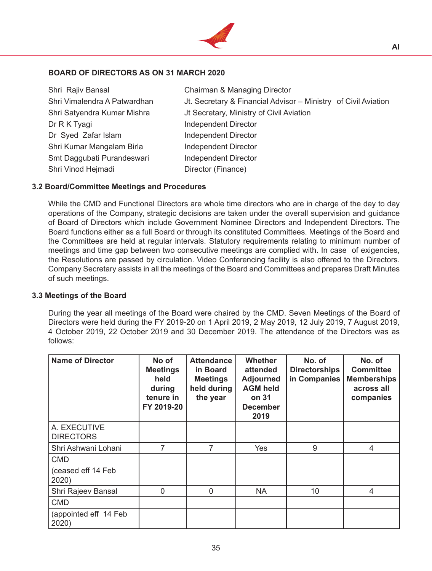

# **BOARD OF DIRECTORS AS ON 31 MARCH 2020**

Dr R K Tyagi **Independent Director** Dr Syed Zafar Islam Independent Director Shri Kumar Mangalam Birla **Independent Director** Smt Daggubati Purandeswari lndependent Director Shri Vinod Hejmadi Director (Finance)

Shri Rajiv Bansal Chairman & Managing Director Shri Vimalendra A Patwardhan Jt. Secretary & Financial Advisor – Ministry of Civil Aviation Shri Satyendra Kumar Mishra **Influence July Secretary, Ministry of Civil Aviation** 

# **3.2 Board/Committee Meetings and Procedures**

While the CMD and Functional Directors are whole time directors who are in charge of the day to day operations of the Company, strategic decisions are taken under the overall supervision and guidance of Board of Directors which include Government Nominee Directors and Independent Directors. The Board functions either as a full Board or through its constituted Committees. Meetings of the Board and the Committees are held at regular intervals. Statutory requirements relating to minimum number of meetings and time gap between two consecutive meetings are complied with. In case of exigencies, the Resolutions are passed by circulation. Video Conferencing facility is also offered to the Directors. Company Secretary assists in all the meetings of the Board and Committees and prepares Draft Minutes of such meetings.

#### **3.3 Meetings of the Board**

 During the year all meetings of the Board were chaired by the CMD. Seven Meetings of the Board of Directors were held during the FY 2019-20 on 1 April 2019, 2 May 2019, 12 July 2019, 7 August 2019, 4 October 2019, 22 October 2019 and 30 December 2019. The attendance of the Directors was as follows:

| <b>Name of Director</b>          | No of<br><b>Meetings</b><br>held<br>during<br>tenure in<br>FY 2019-20 | <b>Attendance</b><br>in Board<br><b>Meetings</b><br>held during<br>the year | <b>Whether</b><br>attended<br><b>Adjourned</b><br><b>AGM held</b><br>on 31<br><b>December</b><br>2019 | No. of<br><b>Directorships</b><br>in Companies | No. of<br><b>Committee</b><br><b>Memberships</b><br>across all<br>companies |
|----------------------------------|-----------------------------------------------------------------------|-----------------------------------------------------------------------------|-------------------------------------------------------------------------------------------------------|------------------------------------------------|-----------------------------------------------------------------------------|
| A. EXECUTIVE<br><b>DIRECTORS</b> |                                                                       |                                                                             |                                                                                                       |                                                |                                                                             |
| Shri Ashwani Lohani              | 7                                                                     | 7                                                                           | Yes                                                                                                   | 9                                              | 4                                                                           |
| <b>CMD</b>                       |                                                                       |                                                                             |                                                                                                       |                                                |                                                                             |
| (ceased eff 14 Feb<br>2020)      |                                                                       |                                                                             |                                                                                                       |                                                |                                                                             |
| Shri Rajeev Bansal               | $\overline{0}$                                                        | 0                                                                           | <b>NA</b>                                                                                             | 10                                             | 4                                                                           |
| <b>CMD</b>                       |                                                                       |                                                                             |                                                                                                       |                                                |                                                                             |
| (appointed eff 14 Feb<br>2020)   |                                                                       |                                                                             |                                                                                                       |                                                |                                                                             |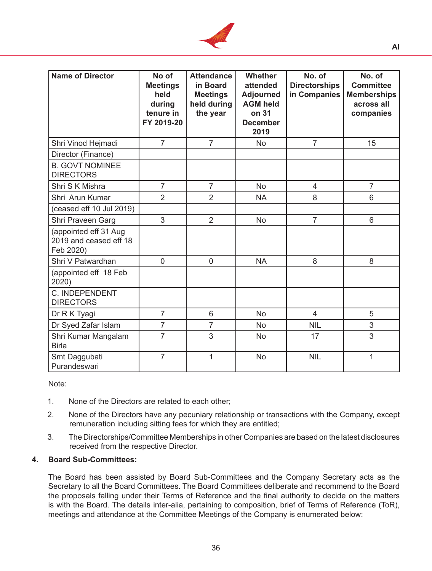

| <b>Name of Director</b>                                      | No of<br><b>Meetings</b><br>held<br>during<br>tenure in<br>FY 2019-20 | <b>Attendance</b><br>in Board<br><b>Meetings</b><br>held during<br>the year | <b>Whether</b><br>attended<br><b>Adjourned</b><br><b>AGM held</b><br>on 31<br><b>December</b><br>2019 | No. of<br><b>Directorships</b><br>in Companies | No. of<br><b>Committee</b><br><b>Memberships</b><br>across all<br>companies |
|--------------------------------------------------------------|-----------------------------------------------------------------------|-----------------------------------------------------------------------------|-------------------------------------------------------------------------------------------------------|------------------------------------------------|-----------------------------------------------------------------------------|
| Shri Vinod Hejmadi                                           | $\overline{7}$                                                        | $\overline{7}$                                                              | <b>No</b>                                                                                             | $\overline{7}$                                 | 15                                                                          |
| Director (Finance)                                           |                                                                       |                                                                             |                                                                                                       |                                                |                                                                             |
| <b>B. GOVT NOMINEE</b><br><b>DIRECTORS</b>                   |                                                                       |                                                                             |                                                                                                       |                                                |                                                                             |
| Shri S K Mishra                                              | $\overline{7}$                                                        | $\overline{7}$                                                              | <b>No</b>                                                                                             | $\overline{4}$                                 | $\overline{7}$                                                              |
| Shri Arun Kumar                                              | $\overline{2}$                                                        | $\overline{2}$                                                              | <b>NA</b>                                                                                             | 8                                              | 6                                                                           |
| (ceased eff 10 Jul 2019)                                     |                                                                       |                                                                             |                                                                                                       |                                                |                                                                             |
| Shri Praveen Garg                                            | 3                                                                     | $\overline{2}$                                                              | <b>No</b>                                                                                             | $\overline{7}$                                 | 6                                                                           |
| (appointed eff 31 Aug<br>2019 and ceased eff 18<br>Feb 2020) |                                                                       |                                                                             |                                                                                                       |                                                |                                                                             |
| Shri V Patwardhan                                            | $\overline{0}$                                                        | $\Omega$                                                                    | <b>NA</b>                                                                                             | 8                                              | 8                                                                           |
| (appointed eff 18 Feb<br>2020)                               |                                                                       |                                                                             |                                                                                                       |                                                |                                                                             |
| C. INDEPENDENT<br><b>DIRECTORS</b>                           |                                                                       |                                                                             |                                                                                                       |                                                |                                                                             |
| Dr R K Tyagi                                                 | $\overline{7}$                                                        | 6                                                                           | <b>No</b>                                                                                             | 4                                              | 5                                                                           |
| Dr Syed Zafar Islam                                          | $\overline{7}$                                                        | $\overline{7}$                                                              | <b>No</b>                                                                                             | <b>NIL</b>                                     | 3                                                                           |
| Shri Kumar Mangalam<br><b>Birla</b>                          | $\overline{7}$                                                        | 3                                                                           | <b>No</b>                                                                                             | 17                                             | 3                                                                           |
| Smt Daggubati<br>Purandeswari                                | $\overline{7}$                                                        | 1                                                                           | <b>No</b>                                                                                             | <b>NIL</b>                                     | 1                                                                           |

Note:

- 1. None of the Directors are related to each other;
- 2. None of the Directors have any pecuniary relationship or transactions with the Company, except remuneration including sitting fees for which they are entitled;
- 3. The Directorships/Committee Memberships in other Companies are based on the latest disclosures received from the respective Director.

# **4. Board Sub-Committees:**

 The Board has been assisted by Board Sub-Committees and the Company Secretary acts as the Secretary to all the Board Committees. The Board Committees deliberate and recommend to the Board the proposals falling under their Terms of Reference and the final authority to decide on the matters is with the Board. The details inter-alia, pertaining to composition, brief of Terms of Reference (ToR), meetings and attendance at the Committee Meetings of the Company is enumerated below: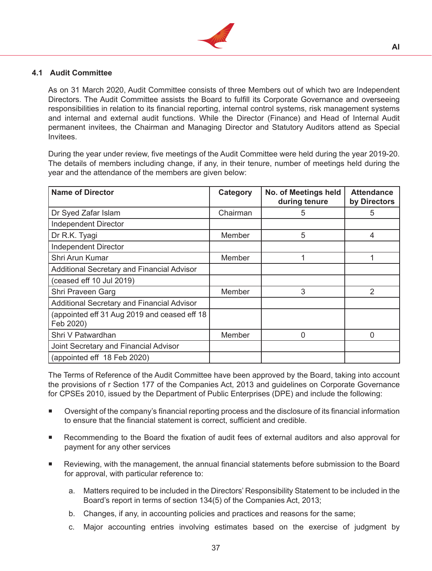

# **4.1 Audit Committee**

 As on 31 March 2020, Audit Committee consists of three Members out of which two are Independent Directors. The Audit Committee assists the Board to fulfill its Corporate Governance and overseeing responsibilities in relation to its financial reporting, internal control systems, risk management systems and internal and external audit functions. While the Director (Finance) and Head of Internal Audit permanent invitees, the Chairman and Managing Director and Statutory Auditors attend as Special Invitees.

 During the year under review, five meetings of the Audit Committee were held during the year 2019-20. The details of members including change, if any, in their tenure, number of meetings held during the year and the attendance of the members are given below:

| <b>Name of Director</b>                                   | Category | No. of Meetings held<br>during tenure | <b>Attendance</b><br>by Directors |
|-----------------------------------------------------------|----------|---------------------------------------|-----------------------------------|
| Dr Syed Zafar Islam                                       | Chairman | 5                                     | 5                                 |
| <b>Independent Director</b>                               |          |                                       |                                   |
| Dr R.K. Tyagi                                             | Member   | 5                                     | $\overline{4}$                    |
| <b>Independent Director</b>                               |          |                                       |                                   |
| Shri Arun Kumar                                           | Member   | 1                                     |                                   |
| Additional Secretary and Financial Advisor                |          |                                       |                                   |
| (ceased eff 10 Jul 2019)                                  |          |                                       |                                   |
| Shri Praveen Garg                                         | Member   | 3                                     | $\overline{2}$                    |
| Additional Secretary and Financial Advisor                |          |                                       |                                   |
| (appointed eff 31 Aug 2019 and ceased eff 18<br>Feb 2020) |          |                                       |                                   |
| Shri V Patwardhan                                         | Member   | 0                                     | 0                                 |
| Joint Secretary and Financial Advisor                     |          |                                       |                                   |
| (appointed eff 18 Feb 2020)                               |          |                                       |                                   |

 The Terms of Reference of the Audit Committee have been approved by the Board, taking into account the provisions of r Section 177 of the Companies Act, 2013 and guidelines on Corporate Governance for CPSEs 2010, issued by the Department of Public Enterprises (DPE) and include the following:

- Oversight of the company's financial reporting process and the disclosure of its financial information to ensure that the financial statement is correct, sufficient and credible.
- Recommending to the Board the fixation of audit fees of external auditors and also approval for payment for any other services
- Reviewing, with the management, the annual financial statements before submission to the Board for approval, with particular reference to:
	- a. Matters required to be included in the Directors' Responsibility Statement to be included in the Board's report in terms of section 134(5) of the Companies Act, 2013;
	- b. Changes, if any, in accounting policies and practices and reasons for the same;
	- c. Major accounting entries involving estimates based on the exercise of judgment by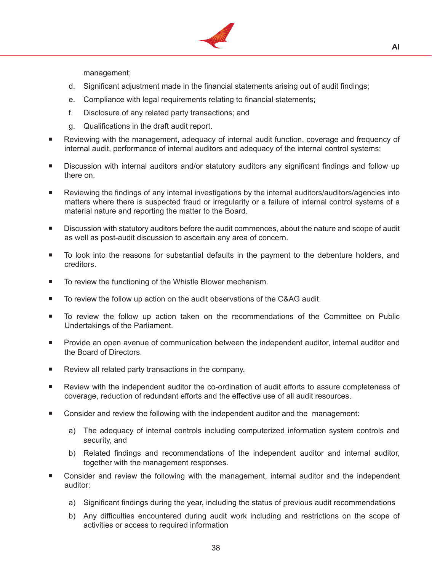

management;

- d. Significant adjustment made in the financial statements arising out of audit findings;
- e. Compliance with legal requirements relating to financial statements;
- f. Disclosure of any related party transactions; and
- g. Qualifications in the draft audit report.
- Reviewing with the management, adequacy of internal audit function, coverage and frequency of internal audit, performance of internal auditors and adequacy of the internal control systems;
- Discussion with internal auditors and/or statutory auditors any significant findings and follow up there on.
- Reviewing the findings of any internal investigations by the internal auditors/auditors/agencies into matters where there is suspected fraud or irregularity or a failure of internal control systems of a material nature and reporting the matter to the Board.
- Discussion with statutory auditors before the audit commences, about the nature and scope of audit as well as post-audit discussion to ascertain any area of concern.
- To look into the reasons for substantial defaults in the payment to the debenture holders, and creditors.
- To review the functioning of the Whistle Blower mechanism.
- To review the follow up action on the audit observations of the C&AG audit.
- To review the follow up action taken on the recommendations of the Committee on Public Undertakings of the Parliament.
- Provide an open avenue of communication between the independent auditor, internal auditor and the Board of Directors.
- Review all related party transactions in the company.
- Review with the independent auditor the co-ordination of audit efforts to assure completeness of coverage, reduction of redundant efforts and the effective use of all audit resources.
- Consider and review the following with the independent auditor and the management:
	- a) The adequacy of internal controls including computerized information system controls and security, and
	- b) Related findings and recommendations of the independent auditor and internal auditor, together with the management responses.
- Consider and review the following with the management, internal auditor and the independent auditor:
	- a) Significant findings during the year, including the status of previous audit recommendations
	- b) Any difficulties encountered during audit work including and restrictions on the scope of activities or access to required information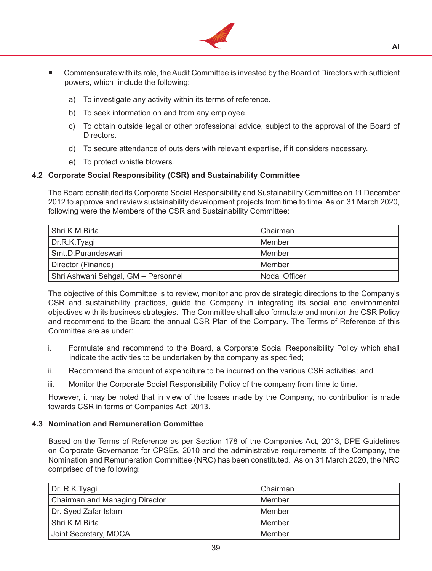

- Commensurate with its role, the Audit Committee is invested by the Board of Directors with sufficient powers, which include the following:
	- a) To investigate any activity within its terms of reference.
	- b) To seek information on and from any employee.
	- c) To obtain outside legal or other professional advice, subject to the approval of the Board of Directors.
	- d) To secure attendance of outsiders with relevant expertise, if it considers necessary.
	- e) To protect whistle blowers.

# **4.2 Corporate Social Responsibility (CSR) and Sustainability Committee**

 The Board constituted its Corporate Social Responsibility and Sustainability Committee on 11 December 2012 to approve and review sustainability development projects from time to time. As on 31 March 2020, following were the Members of the CSR and Sustainability Committee:

| Shri K.M.Birla                      | Chairman      |
|-------------------------------------|---------------|
| Dr.R.K.Tyagi                        | l Member      |
| Smt.D.Purandeswari                  | l Member      |
| Director (Finance)                  | l Member      |
| Shri Ashwani Sehgal, GM - Personnel | Nodal Officer |

 The objective of this Committee is to review, monitor and provide strategic directions to the Company's CSR and sustainability practices, guide the Company in integrating its social and environmental objectives with its business strategies. The Committee shall also formulate and monitor the CSR Policy and recommend to the Board the annual CSR Plan of the Company. The Terms of Reference of this Committee are as under:

- i. Formulate and recommend to the Board, a Corporate Social Responsibility Policy which shall indicate the activities to be undertaken by the company as specified;
- ii. Recommend the amount of expenditure to be incurred on the various CSR activities; and
- iii. Monitor the Corporate Social Responsibility Policy of the company from time to time.

 However, it may be noted that in view of the losses made by the Company, no contribution is made towards CSR in terms of Companies Act 2013.

# **4.3 Nomination and Remuneration Committee**

 Based on the Terms of Reference as per Section 178 of the Companies Act, 2013, DPE Guidelines on Corporate Governance for CPSEs, 2010 and the administrative requirements of the Company, the Nomination and Remuneration Committee (NRC) has been constituted. As on 31 March 2020, the NRC comprised of the following:

| Dr. R.K.Tyagi                         | Chairman |
|---------------------------------------|----------|
| <b>Chairman and Managing Director</b> | Member   |
| Dr. Syed Zafar Islam                  | l Member |
| Shri K.M.Birla                        | l Member |
| Joint Secretary, MOCA                 | Member   |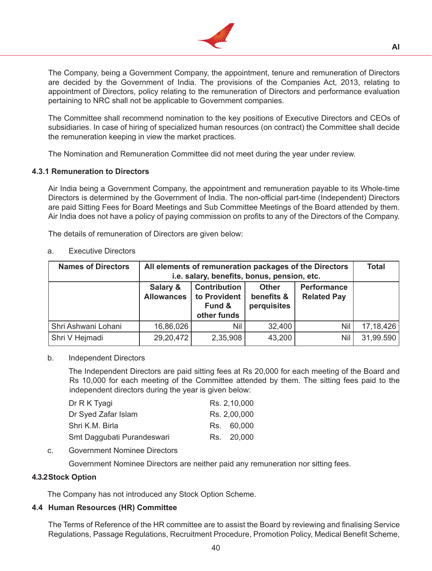

 The Company, being a Government Company, the appointment, tenure and remuneration of Directors are decided by the Government of India. The provisions of the Companies Act, 2013, relating to appointment of Directors, policy relating to the remuneration of Directors and performance evaluation pertaining to NRC shall not be applicable to Government companies.

The Committee shall recommend nomination to the key positions of Executive Directors and CEOs of subsidiaries. In case of hiring of specialized human resources (on contract) the Committee shall decide the remuneration keeping in view the market practices.

The Nomination and Remuneration Committee did not meet during the year under review.

#### **4.3.1 Remuneration to Directors**

 Air India being a Government Company, the appointment and remuneration payable to its Whole-time Directors is determined by the Government of India. The non-official part-time (Independent) Directors are paid Sitting Fees for Board Meetings and Sub Committee Meetings of the Board attended by them. Air India does not have a policy of paying commission on profits to any of the Directors of the Company.

 The details of remuneration of Directors are given below:

| <b>Names of Directors</b> |                               | All elements of remuneration packages of the Directors<br>i.e. salary, benefits, bonus, pension, etc. |        |     |             |  |  |  |
|---------------------------|-------------------------------|-------------------------------------------------------------------------------------------------------|--------|-----|-------------|--|--|--|
|                           | Salary &<br><b>Allowances</b> |                                                                                                       |        |     |             |  |  |  |
| Shri Ashwani Lohani       | 16,86,026                     | Nil                                                                                                   | 32,400 | Nil | 17, 18, 426 |  |  |  |
| Shri V Hejmadi            | 29,20,472                     | 2,35,908                                                                                              | 43,200 | Nil | 31,99.590   |  |  |  |

#### a. Executive Directors

#### b. **Independent Directors**

 The Independent Directors are paid sitting fees at Rs 20,000 for each meeting of the Board and Rs 10,000 for each meeting of the Committee attended by them. The sitting fees paid to the independent directors during the year is given below:

| Dr R K Tyagi               | Rs. 2,10,000 |
|----------------------------|--------------|
| Dr Syed Zafar Islam        | Rs. 2,00,000 |
| Shri K.M. Birla            | Rs. 60,000   |
| Smt Daggubati Purandeswari | Rs. 20,000   |

# c. Government Nominee Directors

Government Nominee Directors are neither paid any remuneration nor sitting fees.

# **4.3.2Stock Option**

The Company has not introduced any Stock Option Scheme.

# **4.4 Human Resources (HR) Committee**

 The Terms of Reference of the HR committee are to assist the Board by reviewing and finalising Service Regulations, Passage Regulations, Recruitment Procedure, Promotion Policy, Medical Benefit Scheme,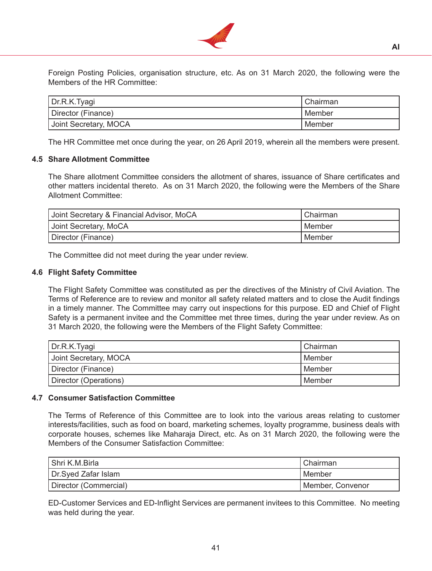

Foreign Posting Policies, organisation structure, etc. As on 31 March 2020, the following were the Members of the HR Committee:

| Dr.R.K.Tyagi                    | Chairman |
|---------------------------------|----------|
| <sup>I</sup> Director (Finance) | Member   |
| Joint Secretary, MOCA           | Member   |

 The HR Committee met once during the year, on 26 April 2019, wherein all the members were present.

#### **4.5 Share Allotment Committee**

The Share allotment Committee considers the allotment of shares, issuance of Share certificates and other matters incidental thereto. As on 31 March 2020, the following were the Members of the Share Allotment Committee:

| Joint Secretary & Financial Advisor, MoCA | Chairman |
|-------------------------------------------|----------|
| Joint Secretary, MoCA                     | l Member |
| Director (Finance)                        | Member   |

The Committee did not meet during the year under review.

#### **4.6 Flight Safety Committee**

The Flight Safety Committee was constituted as per the directives of the Ministry of Civil Aviation. The Terms of Reference are to review and monitor all safety related matters and to close the Audit findings in a timely manner. The Committee may carry out inspections for this purpose. ED and Chief of Flight Safety is a permanent invitee and the Committee met three times, during the year under review. As on 31 March 2020, the following were the Members of the Flight Safety Committee:

| Dr.R.K.Tyagi          | l Chairman |
|-----------------------|------------|
| Joint Secretary, MOCA | l Member   |
| Director (Finance)    | l Member   |
| Director (Operations) | l Member   |

#### **4.7 Consumer Satisfaction Committee**

The Terms of Reference of this Committee are to look into the various areas relating to customer interests/facilities, such as food on board, marketing schemes, loyalty programme, business deals with corporate houses, schemes like Maharaja Direct, etc. As on 31 March 2020, the following were the Members of the Consumer Satisfaction Committee:

| Shri K.M.Birla        | Chairman         |
|-----------------------|------------------|
| Dr.Syed Zafar Islam   | Member           |
| Director (Commercial) | Member, Convenor |

 ED-Customer Services and ED-Inflight Services are permanent invitees to this Committee. No meeting was held during the year.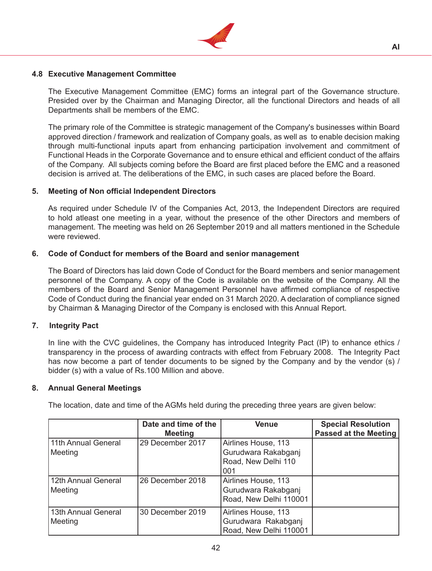

# **4.8 Executive Management Committee**

The Executive Management Committee (EMC) forms an integral part of the Governance structure. Presided over by the Chairman and Managing Director, all the functional Directors and heads of all Departments shall be members of the EMC.

 The primary role of the Committee is strategic management of the Company's businesses within Board approved direction / framework and realization of Company goals, as well as to enable decision making through multi-functional inputs apart from enhancing participation involvement and commitment of Functional Heads in the Corporate Governance and to ensure ethical and efficient conduct of the affairs of the Company. All subjects coming before the Board are first placed before the EMC and a reasoned decision is arrived at. The deliberations of the EMC, in such cases are placed before the Board.

# **5. Meeting of Non official Independent Directors**

 As required under Schedule IV of the Companies Act, 2013, the Independent Directors are required to hold atleast one meeting in a year, without the presence of the other Directors and members of management. The meeting was held on 26 September 2019 and all matters mentioned in the Schedule were reviewed.

# **6. Code of Conduct for members of the Board and senior management**

 The Board of Directors has laid down Code of Conduct for the Board members and senior management personnel of the Company. A copy of the Code is available on the website of the Company. All the members of the Board and Senior Management Personnel have affirmed compliance of respective Code of Conduct during the financial year ended on 31 March 2020. A declaration of compliance signed by Chairman & Managing Director of the Company is enclosed with this Annual Report.

# **7. Integrity Pact**

In line with the CVC guidelines, the Company has introduced Integrity Pact (IP) to enhance ethics / transparency in the process of awarding contracts with effect from February 2008. The Integrity Pact has now become a part of tender documents to be signed by the Company and by the vendor (s) / bidder (s) with a value of Rs.100 Million and above.

# **8. Annual General Meetings**

 The location, date and time of the AGMs held during the preceding three years are given below:

|                     | Date and time of the | <b>Venue</b>           | <b>Special Resolution</b> |
|---------------------|----------------------|------------------------|---------------------------|
|                     | <b>Meeting</b>       |                        | Passed at the Meeting     |
| 11th Annual General | 29 December 2017     | Airlines House, 113    |                           |
| Meeting             |                      | Gurudwara Rakabganj    |                           |
|                     |                      | Road, New Delhi 110    |                           |
|                     |                      | 001                    |                           |
| 12th Annual General | 26 December 2018     | Airlines House, 113    |                           |
| Meeting             |                      | Gurudwara Rakabganj    |                           |
|                     |                      | Road, New Delhi 110001 |                           |
| 13th Annual General | 30 December 2019     | Airlines House, 113    |                           |
| Meeting             |                      | Gurudwara Rakabganj    |                           |
|                     |                      | Road, New Delhi 110001 |                           |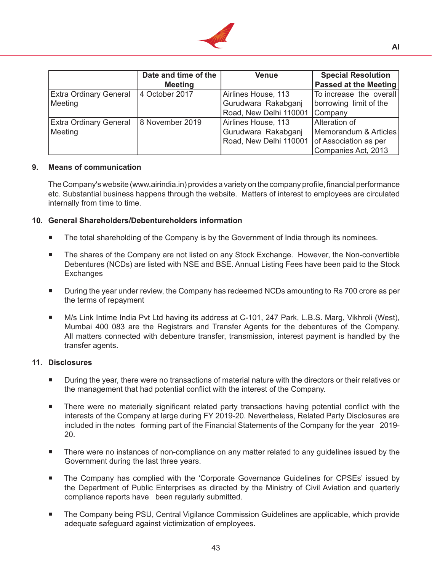

|                               | Date and time of the | <b>Venue</b>                                 | <b>Special Resolution</b>    |
|-------------------------------|----------------------|----------------------------------------------|------------------------------|
|                               | <b>Meeting</b>       |                                              | <b>Passed at the Meeting</b> |
| <b>Extra Ordinary General</b> | 4 October 2017       | Airlines House, 113                          | To increase the overall      |
| Meeting                       |                      | Gurudwara Rakabgani                          | borrowing limit of the       |
|                               |                      | Road, New Delhi 110001                       | Company                      |
| <b>Extra Ordinary General</b> | 8 November 2019      | Airlines House, 113                          | <b>Alteration of</b>         |
| Meeting                       |                      | Gurudwara Rakabganj                          | Memorandum & Articles        |
|                               |                      | Road, New Delhi 110001 of Association as per |                              |
|                               |                      |                                              | Companies Act, 2013          |

#### **9. Means of communication**

 The Company's website (www.airindia.in) provides a variety on the company profile, financial performance etc. Substantial business happens through the website. Matters of interest to employees are circulated internally from time to time.

#### **10. General Shareholders/Debentureholders information**

- **The total shareholding of the Company is by the Government of India through its nominees.**
- **The shares of the Company are not listed on any Stock Exchange. However, the Non-convertible** Debentures (NCDs) are listed with NSE and BSE. Annual Listing Fees have been paid to the Stock **Exchanges**
- **During the year under review, the Company has redeemed NCDs amounting to Rs 700 crore as per** the terms of repayment
- M/s Link Intime India Pvt Ltd having its address at C-101, 247 Park, L.B.S. Marg, Vikhroli (West), Mumbai 400 083 are the Registrars and Transfer Agents for the debentures of the Company. All matters connected with debenture transfer, transmission, interest payment is handled by the transfer agents.

#### **11. Disclosures**

- **During the year, there were no transactions of material nature with the directors or their relatives or** the management that had potential conflict with the interest of the Company.
- **There were no materially significant related party transactions having potential conflict with the** interests of the Company at large during FY 2019-20. Nevertheless, Related Party Disclosures are included in the notes forming part of the Financial Statements of the Company for the year 2019- 20.
- There were no instances of non-compliance on any matter related to any guidelines issued by the Government during the last three years.
- The Company has complied with the 'Corporate Governance Guidelines for CPSEs' issued by the Department of Public Enterprises as directed by the Ministry of Civil Aviation and quarterly compliance reports have been regularly submitted.
- The Company being PSU, Central Vigilance Commission Guidelines are applicable, which provide adequate safeguard against victimization of employees.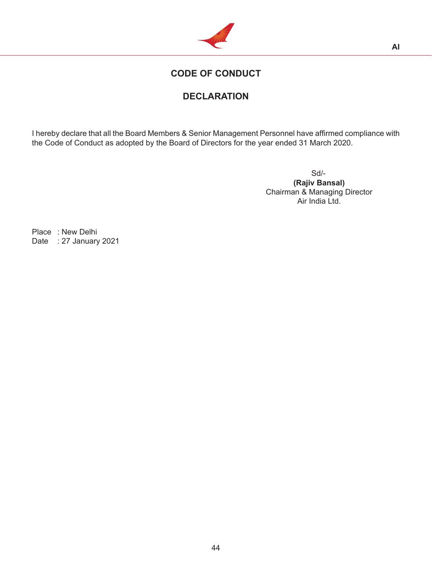

# **CODE OF CONDUCT**

# **DECLARATION**

I hereby declare that all the Board Members & Senior Management Personnel have affirmed compliance with the Code of Conduct as adopted by the Board of Directors for the year ended 31 March 2020.

 Sd/- **(Rajiv Bansal)** Chairman & Managing Director Air India Ltd.

Place : New Delhi Date : 27 January 2021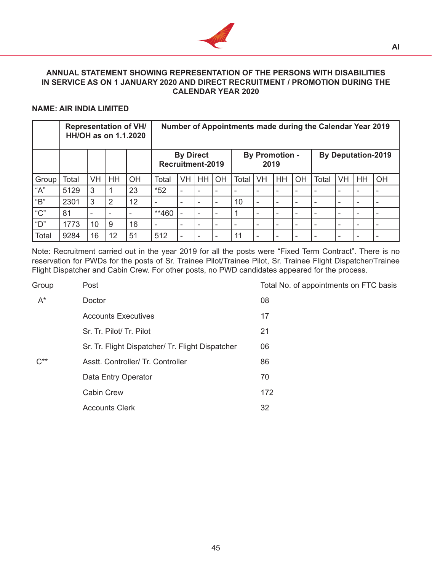

# **ANNUAL STATEMENT SHOWING REPRESENTATION OF THE PERSONS WITH DISABILITIES IN SERVICE AS ON 1 JANUARY 2020 AND DIRECT RECRUITMENT / PROMOTION DURING THE CALENDAR YEAR 2020**

# **NAME: AIR INDIA LIMITED**

|              | <b>Representation of VH/</b><br>HH/OH as on 1.1.2020 |           |           |    | Number of Appointments made during the Calendar Year 2019 |                          |           |    |                               |           |           |                          |       |                          |                           |    |
|--------------|------------------------------------------------------|-----------|-----------|----|-----------------------------------------------------------|--------------------------|-----------|----|-------------------------------|-----------|-----------|--------------------------|-------|--------------------------|---------------------------|----|
|              |                                                      |           |           |    | <b>By Direct</b><br>Recruitment-2019                      |                          |           |    | <b>By Promotion -</b><br>2019 |           |           |                          |       |                          | <b>By Deputation-2019</b> |    |
| Group        | Total                                                | <b>VH</b> | <b>HH</b> | OH | Total                                                     | <b>VH</b>                | <b>HH</b> | OH | Total                         | <b>VH</b> | <b>HH</b> | OH                       | Total | <b>VH</b>                | HH                        | OH |
| "A"          | 5129                                                 | 3         |           | 23 | $*52$                                                     | ۰                        |           | -  |                               |           |           |                          |       | $\overline{\phantom{0}}$ | ۰                         |    |
| "B"          | 2301                                                 | 3         | 2         | 12 | ۰                                                         |                          |           | -  | 10                            |           |           |                          |       | $\overline{\phantom{0}}$ | ۰                         |    |
| " $C$ "      | 81                                                   | ٠         |           |    | **460                                                     |                          |           | ۰  |                               |           |           | $\overline{\phantom{a}}$ |       | ۰                        | ۰                         |    |
| "D"          | 1773                                                 | 10        | 9         | 16 | ۰                                                         | $\overline{\phantom{0}}$ | ۰         |    | $\overline{\phantom{0}}$      |           |           |                          |       | $\overline{\phantom{0}}$ | ۰                         | ٠  |
| <b>Total</b> | 9284                                                 | 16        | 12        | 51 | 512                                                       |                          |           |    | 11                            |           |           |                          |       |                          |                           |    |

Note: Recruitment carried out in the year 2019 for all the posts were "Fixed Term Contract". There is no reservation for PWDs for the posts of Sr. Trainee Pilot/Trainee Pilot, Sr. Trainee Flight Dispatcher/Trainee Flight Dispatcher and Cabin Crew. For other posts, no PWD candidates appeared for the process.

| Group | Post                                             | Tota |
|-------|--------------------------------------------------|------|
| $A^*$ | Doctor                                           | 08   |
|       | <b>Accounts Executives</b>                       | 17   |
|       | Sr. Tr. Pilot/ Tr. Pilot                         | 21   |
|       | Sr. Tr. Flight Dispatcher/ Tr. Flight Dispatcher | 06   |
| ር**   | Asstt. Controller/ Tr. Controller                | 86   |
|       | Data Entry Operator                              | 70   |
|       | <b>Cabin Crew</b>                                | 172  |
|       | <b>Accounts Clerk</b>                            | 32   |

tal No. of appointments on FTC basis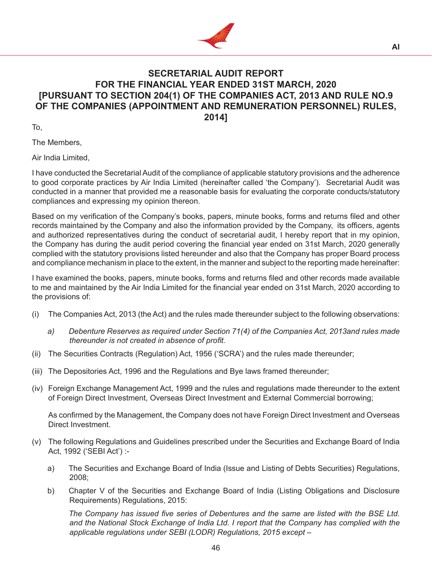

# **SECRETARIAL AUDIT REPORT FOR THE FINANCIAL YEAR ENDED 31ST MARCH, 2020 [PURSUANT TO SECTION 204(1) OF THE COMPANIES ACT, 2013 AND RULE NO.9 OF THE COMPANIES (APPOINTMENT AND REMUNERATION PERSONNEL) RULES, 2014]**

To,

The Members,

Air India Limited,

I have conducted the Secretarial Audit of the compliance of applicable statutory provisions and the adherence to good corporate practices by Air India Limited (hereinafter called 'the Company'). Secretarial Audit was conducted in a manner that provided me a reasonable basis for evaluating the corporate conducts/statutory compliances and expressing my opinion thereon.

Based on my verification of the Company's books, papers, minute books, forms and returns filed and other records maintained by the Company and also the information provided by the Company, its officers, agents and authorized representatives during the conduct of secretarial audit, I hereby report that in my opinion, the Company has during the audit period covering the financial year ended on 31st March, 2020 generally complied with the statutory provisions listed hereunder and also that the Company has proper Board process and compliance mechanism in place to the extent, in the manner and subject to the reporting made hereinafter:

I have examined the books, papers, minute books, forms and returns filed and other records made available to me and maintained by the Air India Limited for the financial year ended on 31st March, 2020 according to the provisions of:

- (i) The Companies Act, 2013 (the Act) and the rules made thereunder subject to the following observations:
	- *a) Debenture Reserves as required under Section 71(4) of the Companies Act, 2013and rules made thereunder is not created in absence of profit.*
- (ii) The Securities Contracts (Regulation) Act, 1956 ('SCRA') and the rules made thereunder;
- (iii) The Depositories Act, 1996 and the Regulations and Bye laws framed thereunder;
- (iv) Foreign Exchange Management Act, 1999 and the rules and regulations made thereunder to the extent of Foreign Direct Investment, Overseas Direct Investment and External Commercial borrowing;

 As confirmed by the Management, the Company does not have Foreign Direct Investment and Overseas Direct Investment.

- (v) The following Regulations and Guidelines prescribed under the Securities and Exchange Board of India Act, 1992 ('SEBI Act') :
	- a) The Securities and Exchange Board of India (Issue and Listing of Debts Securities) Regulations, 2008;
	- b) Chapter V of the Securities and Exchange Board of India (Listing Obligations and Disclosure Requirements) Regulations, 2015:

*The Company has issued five series of Debentures and the same are listed with the BSE Ltd. and the National Stock Exchange of India Ltd. I report that the Company has complied with the applicable regulations under SEBI (LODR) Regulations, 2015 except –*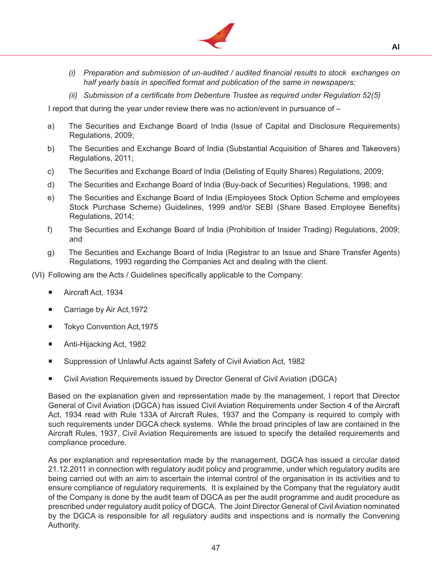

- *(i) Preparation and submission of un-audited / audited financial results to stock exchanges on half yearly basis in specified format and publication of the same in newspapers;*
- *(ii) Submission of a certificate from Debenture Trustee as required under Regulation 52(5)*

 I report that during the year under review there was no action/event in pursuance of –

- a) The Securities and Exchange Board of India (Issue of Capital and Disclosure Requirements) Regulations, 2009;
- b) The Securities and Exchange Board of India (Substantial Acquisition of Shares and Takeovers) Regulations, 2011;
- c) The Securities and Exchange Board of India (Delisting of Equity Shares) Regulations, 2009;
- d) The Securities and Exchange Board of India (Buy-back of Securities) Regulations, 1998; and
- e) The Securities and Exchange Board of India (Employees Stock Option Scheme and employees Stock Purchase Scheme) Guidelines, 1999 and/or SEBI (Share Based Employee Benefits) Regulations, 2014;
- f) The Securities and Exchange Board of India (Prohibition of Insider Trading) Regulations, 2009; and
- g) The Securities and Exchange Board of India (Registrar to an Issue and Share Transfer Agents) Regulations, 1993 regarding the Companies Act and dealing with the client.
- (VI) Following are the Acts / Guidelines specifically applicable to the Company:
	- Aircraft Act, 1934
	- Carriage by Air Act,1972
	- Tokyo Convention Act,1975
	- Anti-Hijacking Act, 1982
	- Suppression of Unlawful Acts against Safety of Civil Aviation Act, 1982
	- Civil Aviation Requirements issued by Director General of Civil Aviation (DGCA)

 Based on the explanation given and representation made by the management, I report that Director General of Civil Aviation (DGCA) has issued Civil Aviation Requirements under Section 4 of the Aircraft Act, 1934 read with Rule 133A of Aircraft Rules, 1937 and the Company is required to comply with such requirements under DGCA check systems. While the broad principles of law are contained in the Aircraft Rules, 1937, Civil Aviation Requirements are issued to specify the detailed requirements and compliance procedure.

 As per explanation and representation made by the management, DGCA has issued a circular dated 21.12.2011 in connection with regulatory audit policy and programme, under which regulatory audits are being carried out with an aim to ascertain the internal control of the organisation in its activities and to ensure compliance of regulatory requirements. It is explained by the Company that the regulatory audit of the Company is done by the audit team of DGCA as per the audit programme and audit procedure as prescribed under regulatory audit policy of DGCA. The Joint Director General of Civil Aviation nominated by the DGCA is responsible for all regulatory audits and inspections and is normally the Convening Authority.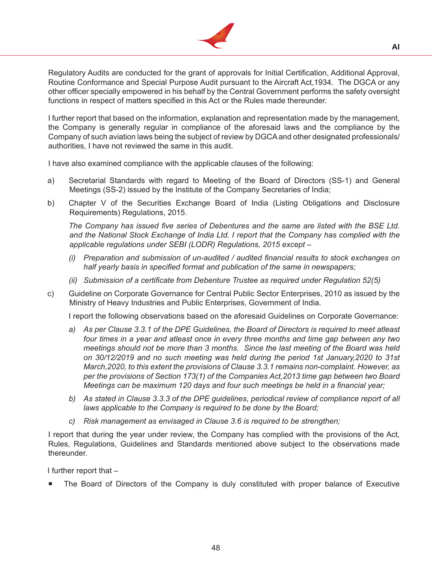

 Regulatory Audits are conducted for the grant of approvals for Initial Certification, Additional Approval, Routine Conformance and Special Purpose Audit pursuant to the Aircraft Act,1934. The DGCA or any other officer specially empowered in his behalf by the Central Government performs the safety oversight functions in respect of matters specified in this Act or the Rules made thereunder.

 I further report that based on the information, explanation and representation made by the management, the Company is generally regular in compliance of the aforesaid laws and the compliance by the Company of such aviation laws being the subject of review by DGCAand other designated professionals/ authorities, I have not reviewed the same in this audit.

 I have also examined compliance with the applicable clauses of the following:

- a) Secretarial Standards with regard to Meeting of the Board of Directors (SS-1) and General Meetings (SS-2) issued by the Institute of the Company Secretaries of India;
- b) Chapter V of the Securities Exchange Board of India (Listing Obligations and Disclosure Requirements) Regulations, 2015.

*The Company has issued five series of Debentures and the same are listed with the BSE Ltd. and the National Stock Exchange of India Ltd. I report that the Company has complied with the applicable regulations under SEBI (LODR) Regulations, 2015 except –*

- *(i) Preparation and submission of un-audited / audited financial results to stock exchanges on half yearly basis in specified format and publication of the same in newspapers;*
- *(ii) Submission of a certificate from Debenture Trustee as required under Regulation 52(5)*
- c) Guideline on Corporate Governance for Central Public Sector Enterprises, 2010 as issued by the Ministry of Heavy Industries and Public Enterprises, Government of India.

 I report the following observations based on the aforesaid Guidelines on Corporate Governance:

- *a) As per Clause 3.3.1 of the DPE Guidelines, the Board of Directors is required to meet atleast four times in a year and atleast once in every three months and time gap between any two meetings should not be more than 3 months. Since the last meeting of the Board was held on 30/12/2019 and no such meeting was held during the period 1st January,2020 to 31st March,2020, to this extent the provisions of Clause 3.3.1 remains non-complaint. However, as per the provisions of Section 173(1) of the Companies Act,2013 time gap between two Board Meetings can be maximum 120 days and four such meetings be held in a financial year;*
- *b) As stated in Clause 3.3.3 of the DPE guidelines, periodical review of compliance report of all laws applicable to the Company is required to be done by the Board;*
- *c) Risk management as envisaged in Clause 3.6 is required to be strengthen;*

 I report that during the year under review, the Company has complied with the provisions of the Act, Rules, Regulations, Guidelines and Standards mentioned above subject to the observations made thereunder.

I further report that –

The Board of Directors of the Company is duly constituted with proper balance of Executive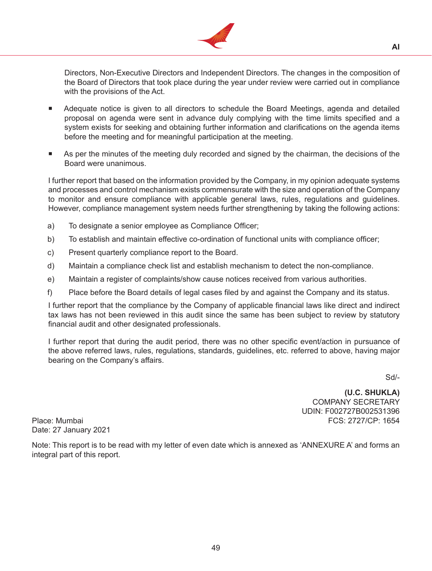

Directors, Non-Executive Directors and Independent Directors. The changes in the composition of the Board of Directors that took place during the year under review were carried out in compliance with the provisions of the Act.

- Adequate notice is given to all directors to schedule the Board Meetings, agenda and detailed proposal on agenda were sent in advance duly complying with the time limits specified and a system exists for seeking and obtaining further information and clarifications on the agenda items before the meeting and for meaningful participation at the meeting.
- As per the minutes of the meeting duly recorded and signed by the chairman, the decisions of the Board were unanimous.

 I further report that based on the information provided by the Company, in my opinion adequate systems and processes and control mechanism exists commensurate with the size and operation of the Company to monitor and ensure compliance with applicable general laws, rules, regulations and guidelines. However, compliance management system needs further strengthening by taking the following actions:

- a) To designate a senior employee as Compliance Officer;
- b) To establish and maintain effective co-ordination of functional units with compliance officer;
- c) Present quarterly compliance report to the Board.
- d) Maintain a compliance check list and establish mechanism to detect the non-compliance.
- e) Maintain a register of complaints/show cause notices received from various authorities.
- f) Place before the Board details of legal cases filed by and against the Company and its status.

 I further report that the compliance by the Company of applicable financial laws like direct and indirect tax laws has not been reviewed in this audit since the same has been subject to review by statutory financial audit and other designated professionals.

 I further report that during the audit period, there was no other specific event/action in pursuance of the above referred laws, rules, regulations, standards, guidelines, etc. referred to above, having major bearing on the Company's affairs.

Sd/-

**(U.C. SHUKLA)** COMPANY SECRETARY UDIN: F002727B002531396 Place: Mumbai FCS: 2727/CP: 1654

Date: 27 January 2021

Note: This report is to be read with my letter of even date which is annexed as 'ANNEXURE A' and forms an integral part of this report.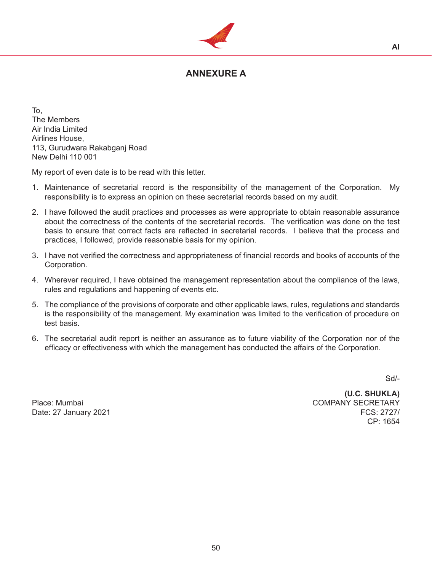

# **ANNEXURE A**

To, The Members Air India Limited Airlines House, 113, Gurudwara Rakabganj Road New Delhi 110 001

My report of even date is to be read with this letter.

- 1. Maintenance of secretarial record is the responsibility of the management of the Corporation. My responsibility is to express an opinion on these secretarial records based on my audit.
- 2. I have followed the audit practices and processes as were appropriate to obtain reasonable assurance about the correctness of the contents of the secretarial records. The verification was done on the test basis to ensure that correct facts are reflected in secretarial records. I believe that the process and practices, I followed, provide reasonable basis for my opinion.
- 3. I have not verified the correctness and appropriateness of financial records and books of accounts of the Corporation.
- 4. Wherever required, I have obtained the management representation about the compliance of the laws, rules and regulations and happening of events etc.
- 5. The compliance of the provisions of corporate and other applicable laws, rules, regulations and standards is the responsibility of the management. My examination was limited to the verification of procedure on test basis.
- 6. The secretarial audit report is neither an assurance as to future viability of the Corporation nor of the efficacy or effectiveness with which the management has conducted the affairs of the Corporation.

Sd/-

 **(U.C. SHUKLA)** Place: Mumbai COMPANY SECRETARY Date: 27 January 2021 FCS: 2727/ CP: 1654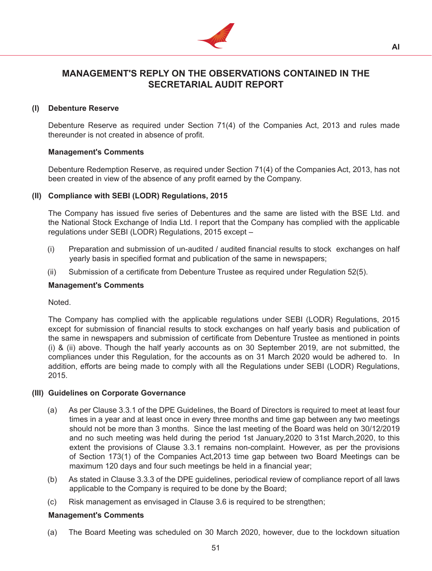

**AI**

# **MANAGEMENT'S REPLY ON THE OBSERVATIONS CONTAINED IN THE SECRETARIAL AUDIT REPORT**

# **(I) Debenture Reserve**

 Debenture Reserve as required under Section 71(4) of the Companies Act, 2013 and rules made thereunder is not created in absence of profit.

# **Management's Comments**

 Debenture Redemption Reserve, as required under Section 71(4) of the Companies Act, 2013, has not been created in view of the absence of any profit earned by the Company.

# **(II) Compliance with SEBI (LODR) Regulations, 2015**

 The Company has issued five series of Debentures and the same are listed with the BSE Ltd. and the National Stock Exchange of India Ltd. I report that the Company has complied with the applicable regulations under SEBI (LODR) Regulations, 2015 except –

- (i) Preparation and submission of un-audited / audited financial results to stock exchanges on half yearly basis in specified format and publication of the same in newspapers;
- (ii) Submission of a certificate from Debenture Trustee as required under Regulation 52(5).

# **Management's Comments**

Noted.

 The Company has complied with the applicable regulations under SEBI (LODR) Regulations, 2015 except for submission of financial results to stock exchanges on half yearly basis and publication of the same in newspapers and submission of certificate from Debenture Trustee as mentioned in points (i) & (ii) above. Though the half yearly accounts as on 30 September 2019, are not submitted, the compliances under this Regulation, for the accounts as on 31 March 2020 would be adhered to. In addition, efforts are being made to comply with all the Regulations under SEBI (LODR) Regulations, 2015.

# **(III) Guidelines on Corporate Governance**

- (a) As per Clause 3.3.1 of the DPE Guidelines, the Board of Directors is required to meet at least four times in a year and at least once in every three months and time gap between any two meetings should not be more than 3 months. Since the last meeting of the Board was held on 30/12/2019 and no such meeting was held during the period 1st January,2020 to 31st March,2020, to this extent the provisions of Clause 3.3.1 remains non-complaint. However, as per the provisions of Section 173(1) of the Companies Act,2013 time gap between two Board Meetings can be maximum 120 days and four such meetings be held in a financial year;
- (b) As stated in Clause 3.3.3 of the DPE guidelines, periodical review of compliance report of all laws applicable to the Company is required to be done by the Board;
- (c) Risk management as envisaged in Clause 3.6 is required to be strengthen;

# **Management's Comments**

(a) The Board Meeting was scheduled on 30 March 2020, however, due to the lockdown situation